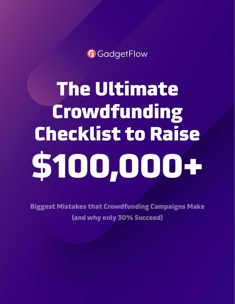**G** GadgetFlow

The Ultimate Crowdfunding Checklist to Raise \$100,000+

Biggest Mistakes that Crowdfunding Campaigns Make (and why only 30% Succeed)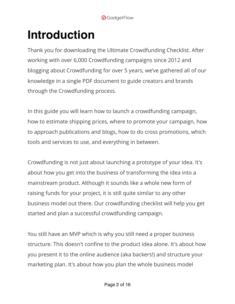# **Introduction**

Thank you for downloading the Ultimate Crowdfunding Checklist. After working with over 6,000 Crowdfunding campaigns since 2012 and blogging about Crowdfunding for over 5 years, we've gathered all of our knowledge in a single PDF document to guide creators and brands through the Crowdfunding process.

In this guide you will learn how to launch a crowdfunding campaign, how to estimate shipping prices, where to promote your campaign, how to approach publications and blogs, how to do cross promotions, which tools and services to use, and everything in between.

Crowdfunding is not just about launching a prototype of your idea. It's about how you get into the business of transforming the idea into a mainstream product. Although it sounds like a whole new form of raising funds for your project, it is still quite similar to any other business model out there. Our crowdfunding checklist will help you get started and plan a successful crowdfunding campaign.

You still have an MVP which is why you still need a proper business structure. This doesn't confine to the product idea alone. It's about how you present it to the online audience (aka backers!) and structure your marketing plan. It's about how you plan the whole business model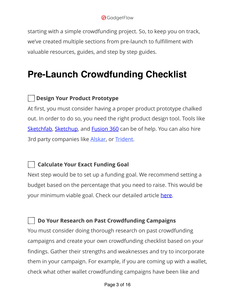starting with a simple crowdfunding project. So, to keep you on track, we've created multiple sections from pre-launch to fulfillment with valuable resources, guides, and step by step guides.

# **Pre-Launch Crowdfunding Checklist**

#### **Design Your Product Prototype**

At first, you must consider having a proper product prototype chalked out. In order to do so, you need the right product design tool. Tools like [Sketchfab,](https://sketchfab.com/) [Sketchup,](https://www.sketchup.com/) and [Fusion 360](http://www.autodesk.com/products/fusion-360/overview) can be of help. You can also hire 3rd party companies like [Alskar,](https://www.alskar.com/?gclid=Cj0KCQiApt_xBRDxARIsAAMUMu8amhEFwpx-d81jakcrWxiZxZnNkE3PyDWmkYolX2374o46Fj5jzjwaAtzXEALw_wcB) or [Trident.](http://home.trident-design.com/)

# **Calculate Your Exact Funding Goal**

Next step would be to set up a funding goal. We recommend setting a budget based on the percentage that you need to raise. This would be your minimum viable goal. Check our detailed article [here](http://thegadgetflow.com/blog/calculate-crowdfunding-goal/).

#### **Do Your Research on Past Crowdfunding Campaigns**

You must consider doing thorough research on past crowdfunding campaigns and create your own crowdfunding checklist based on your findings. Gather their strengths and weaknesses and try to incorporate them in your campaign. For example, if you are coming up with a wallet, check what other wallet crowdfunding campaigns have been like and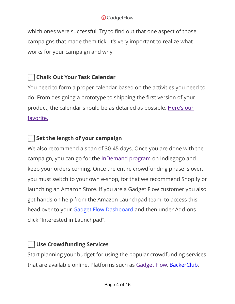#### **G**GadgetFlow

which ones were successful. Try to find out that one aspect of those campaigns that made them tick. It's very important to realize what works for your campaign and why.

# **Chalk Out Your Task Calendar**

You need to form a proper calendar based on the activities you need to do. From designing a prototype to shipping the first version of your product, the calendar should be as detailed as possible. [Here's our](https://go.indiegogo.com/blog/2015/12/crowdfunding-prep-calendar-checklist.html)  [favorite.](https://go.indiegogo.com/blog/2015/12/crowdfunding-prep-calendar-checklist.html)

# **Set the length of your campaign**

We also recommend a span of 30-45 days. Once you are done with the campaign, you can go for the [InDemand program](https://learn.indiegogo.com/indemand/) on Indiegogo and keep your orders coming. Once the entire crowdfunding phase is over, you must switch to your own e-shop, for that we recommend Shopify or launching an Amazon Store. If you are a Gadget Flow customer you also get hands-on help from the Amazon Launchpad team, to access this head over to your [Gadget Flow Dashboard](https://thegadgetflow.com/dashboard/) and then under Add-ons click "Interested in Launchpad".

# **Use Crowdfunding Services**

Start planning your budget for using the popular crowdfunding services that are available online. Platforms such as [Gadget Flow,](https://thegadgetflow.com/submit/) [BackerClub,](http://backerclub.co/homepage.php)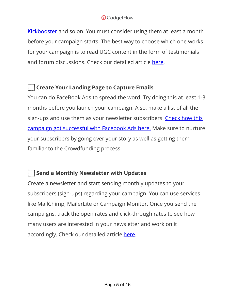#### **G**GadgetFlow

[Kickbooster](http://kickbooster.com/) and so on. You must consider using them at least a month before your campaign starts. The best way to choose which one works for your campaign is to read UGC content in the form of testimonials and forum discussions. Check our detailed article [here.](http://thegadgetflow.com/blog/crowdfunding-project-promotion/)

# **Create Your Landing Page to Capture Emails**

You can do FaceBook Ads to spread the word. Try doing this at least 1-3 months before you launch your campaign. Also, make a list of all the sign-ups and use them as your newsletter subscribers. Check how this [campaign got successful with Facebook Ads here.](http://thegadgetflow.com/blog/facebook-ads-can-help-raise-pledges-kickstarter/) Make sure to nurture your subscribers by going over your story as well as getting them familiar to the Crowdfunding process.

# **Send a Monthly Newsletter with Updates**

Create a newsletter and start sending monthly updates to your subscribers (sign-ups) regarding your campaign. You can use services like MailChimp, MailerLite or Campaign Monitor. Once you send the campaigns, track the open rates and click-through rates to see how many users are interested in your newsletter and work on it accordingly. Check our detailed article [here.](http://thegadgetflow.com/blog/ecommerce-email-marketing-how-to-turn-leads-into-valuable-customers/)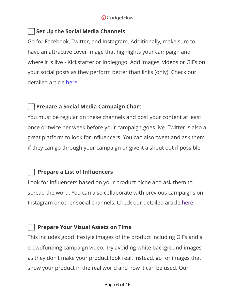#### **Set Up the Social Media Channels**

Go for Facebook, Twitter, and Instagram. Additionally, make sure to have an attractive cover image that highlights your campaign and where it is live - Kickstarter or Indiegogo. Add images, videos or GIFs on your social posts as they perform better than links (only). Check our detailed article [here.](http://thegadgetflow.com/blog/get-crowdfunding-backers-social-media-marketing/)

#### **Prepare a Social Media Campaign Chart**

You must be regular on these channels and post your content at least once or twice per week before your campaign goes live. Twitter is also a great platform to look for influencers. You can also tweet and ask them if they can go through your campaign or give it a shout out if possible.

#### **Prepare a List of Influencers**

Look for influencers based on your product niche and ask them to spread the word. You can also collaborate with previous campaigns on Instagram or other social channels. Check our detailed article [here.](http://thegadgetflow.com/blog/find-influential-backers-crowdfunding-campaign/)

#### **Prepare Your Visual Assets on Time**

This includes good lifestyle images of the product including GIFs and a crowdfunding campaign video. Try avoiding white background images as they don't make your product look real. Instead, go for images that show your product in the real world and how it can be used. Our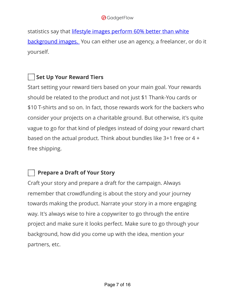#### **G**GadgetFlow

statistics say that [lifestyle images perform 60% better than white](http://thegadgetflow.com/blog/lifestyle-photos-vs-white-background-photos-which-one-works-best-and-why/)  [background images.](http://thegadgetflow.com/blog/lifestyle-photos-vs-white-background-photos-which-one-works-best-and-why/) You can either use an agency, a freelancer, or do it yourself.

# **Set Up Your Reward Tiers**

Start setting your reward tiers based on your main goal. Your rewards should be related to the product and not just \$1 Thank-You cards or \$10 T-shirts and so on. In fact, those rewards work for the backers who consider your projects on a charitable ground. But otherwise, it's quite vague to go for that kind of pledges instead of doing your reward chart based on the actual product. Think about bundles like 3+1 free or 4 + free shipping.

# **Prepare a Draft of Your Story**

Craft your story and prepare a draft for the campaign. Always remember that crowdfunding is about the story and your journey towards making the product. Narrate your story in a more engaging way. It's always wise to hire a copywriter to go through the entire project and make sure it looks perfect. Make sure to go through your background, how did you come up with the idea, mention your partners, etc.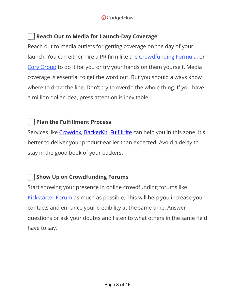# **Reach Out to Media for Launch-Day Coverage**

Reach out to media outlets for getting coverage on the day of your launch. You can either hire a PR firm like the [Crowdfunding Formula](https://thecrowdfundingformula.com/), or [Cory Group](https://corygroup.com) to do it for you or try your hands on them yourself. Media coverage is essential to get the word out. But you should always know where to draw the line. Don't try to overdo the whole thing. If you have a million dollar idea, press attention is inevitable.

# **Plan the Fulfillment Process**

Services like [Crowdox,](http://crowdox.com/?utm_source=GADGETFLOW&utm_campaign=GADGETFLOW&utm_term=GADGETFLOW) [BackerKit](http://backerkit.com/), Fulfi[llrite](http://thegadgetflow.com/blog/fulfillrite-a-reliable-one-stop-solution-for-ecommerce-or-crowdfunding-order-fulfillment/) can help you in this zone. It's better to deliver your product earlier than expected. Avoid a delay to stay in the good book of your backers.

# **Show Up on Crowdfunding Forums**

Start showing your presence in online crowdfunding forums like [Kickstarter Forum](https://kickstarterforum.org) as much as possible. This will help you increase your contacts and enhance your credibility at the same time. Answer questions or ask your doubts and listen to what others in the same field have to say.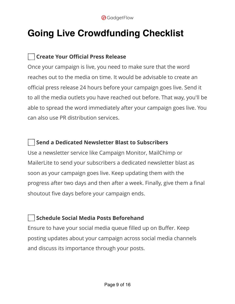# **Going Live Crowdfunding Checklist**

# **Create Your Official Press Release**

Once your campaign is live, you need to make sure that the word reaches out to the media on time. It would be advisable to create an official press release 24 hours before your campaign goes live. Send it to all the media outlets you have reached out before. That way, you'll be able to spread the word immediately after your campaign goes live. You can also use PR distribution services.

#### **Send a Dedicated Newsletter Blast to Subscribers**

Use a newsletter service like Campaign Monitor, MailChimp or MailerLite to send your subscribers a dedicated newsletter blast as soon as your campaign goes live. Keep updating them with the progress after two days and then after a week. Finally, give them a final shoutout five days before your campaign ends.

# **Schedule Social Media Posts Beforehand**

Ensure to have your social media queue filled up on Buffer. Keep posting updates about your campaign across social media channels and discuss its importance through your posts.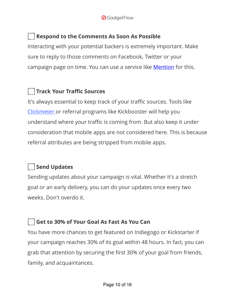

#### **Respond to the Comments As Soon As Possible**

Interacting with your potential backers is extremely important. Make sure to reply to those comments on Facebook, Twitter or your campaign page on time. You can use a service like **[Mention](http://mention.com/)** for this.

#### **Track Your Traffic Sources**

It's always essential to keep track of your traffic sources. Tools like [Clickmeter o](https://shareasale.com/r.cfm?b=556594&u=1870397&m=51172&urllink=&afftrack=)r referral programs like Kickbooster will help you understand where your traffic is coming from. But also keep it under consideration that mobile apps are not considered here. This is because referral attributes are being stripped from mobile apps.

#### **Send Updates**

Sending updates about your campaign is vital. Whether it's a stretch goal or an early delivery, you can do your updates once every two weeks. Don't overdo it.

#### **Get to 30% of Your Goal As Fast As You Can**

You have more chances to get featured on Indiegogo or Kickstarter if your campaign reaches 30% of its goal within 48 hours. In fact, you can grab that attention by securing the first 30% of your goal from friends, family, and acquaintances.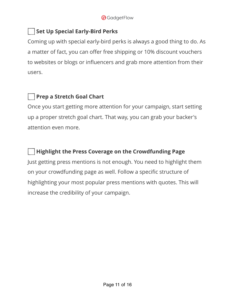#### **Set Up Special Early-Bird Perks**

Coming up with special early-bird perks is always a good thing to do. As a matter of fact, you can offer free shipping or 10% discount vouchers to websites or blogs or influencers and grab more attention from their users.

# **Prep a Stretch Goal Chart**

Once you start getting more attention for your campaign, start setting up a proper stretch goal chart. That way, you can grab your backer's attention even more.

#### **Highlight the Press Coverage on the Crowdfunding Page**

Just getting press mentions is not enough. You need to highlight them on your crowdfunding page as well. Follow a specific structure of highlighting your most popular press mentions with quotes. This will increase the credibility of your campaign.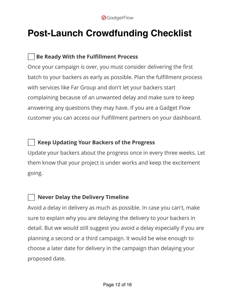

# **Post-Launch Crowdfunding Checklist**

# **Be Ready With the Fulfillment Process**

Once your campaign is over, you must consider delivering the first batch to your backers as early as possible. Plan the fulfillment process with services like Far Group and don't let your backers start complaining because of an unwanted delay and make sure to keep answering any questions they may have. If you are a Gadget Flow customer you can access our Fulfillment partners on your dashboard.

#### **Keep Updating Your Backers of the Progress**

Update your backers about the progress once in every three weeks. Let them know that your project is under works and keep the excitement going.

# **Never Delay the Delivery Timeline**

Avoid a delay in delivery as much as possible. In case you can't, make sure to explain why you are delaying the delivery to your backers in detail. But we would still suggest you avoid a delay especially if you are planning a second or a third campaign. It would be wise enough to choose a later date for delivery in the campaign than delaying your proposed date.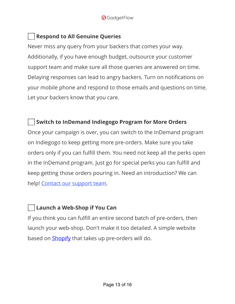

#### **Respond to All Genuine Queries**

Never miss any query from your backers that comes your way. Additionally, if you have enough budget, outsource your customer support team and make sure all those queries are answered on time. Delaying responses can lead to angry backers. Turn on notifications on your mobile phone and respond to those emails and questions on time. Let your backers know that you care.

#### **Switch to InDemand Indiegogo Program for More Orders**

Once your campaign is over, you can switch to the InDemand program on Indiegogo to keep getting more pre-orders. Make sure you take orders only if you can fulfill them. You need not keep all the perks open in the InDemand program. Just go for special perks you can fulfill and keep getting those orders pouring in. Need an introduction? We can help! [Contact our support team.](https://thegadgetflow.com/contact/)

#### **Launch a Web-Shop if You Can**

If you think you can fulfill an entire second batch of pre-orders, then launch your web-shop. Don't make it too detailed. A simple website based on [Shopify](http://shopify.com/) that takes up pre-orders will do.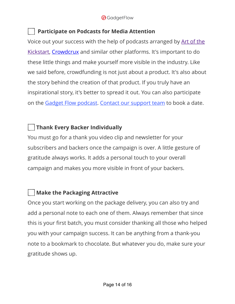#### **Participate on Podcasts for Media Attention**

Voice out your success with the help of podcasts arranged by [Art of the](http://artofthekickstart.com/)  [Kickstart](http://artofthekickstart.com/), [Crowdcrux](http://crowdcrux.com/) and similar other platforms. It's important to do these little things and make yourself more visible in the industry. Like we said before, crowdfunding is not just about a product. It's also about the story behind the creation of that product. If you truly have an inspirational story, it's better to spread it out. You can also participate on the [Gadget Flow podcast.](https://podcast.thegadgetflow.com/) [Contact our support team](https://thegadgetflow.com/contact/) to book a date.

# **Thank Every Backer Individually**

You must go for a thank you video clip and newsletter for your subscribers and backers once the campaign is over. A little gesture of gratitude always works. It adds a personal touch to your overall campaign and makes you more visible in front of your backers.

# **Make the Packaging Attractive**

Once you start working on the package delivery, you can also try and add a personal note to each one of them. Always remember that since this is your first batch, you must consider thanking all those who helped you with your campaign success. It can be anything from a thank-you note to a bookmark to chocolate. But whatever you do, make sure your gratitude shows up.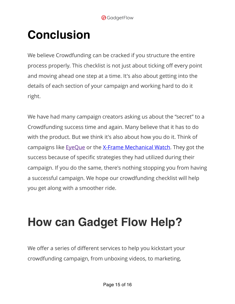# **Conclusion**

We believe Crowdfunding can be cracked if you structure the entire process properly. This checklist is not just about ticking off every point and moving ahead one step at a time. It's also about getting into the details of each section of your campaign and working hard to do it right.

We have had many campaign creators asking us about the "secret" to a Crowdfunding success time and again. Many believe that it has to do with the product. But we think it's also about how you do it. Think of campaigns like [EyeQue](http://thegadgetflow.com/blog/gadget-flow-success-stories-helped-eyeque-kickstarter-campaign/) or the [X-Frame Mechanical Watch.](http://thegadgetflow.com/blog/facebook-ads-can-help-raise-pledges-kickstarter/) They got the success because of specific strategies they had utilized during their campaign. If you do the same, there's nothing stopping you from having a successful campaign. We hope our crowdfunding checklist will help you get along with a smoother ride.

# **How can Gadget Flow Help?**

We offer a series of different services to help you kickstart your crowdfunding campaign, from unboxing videos, to marketing,